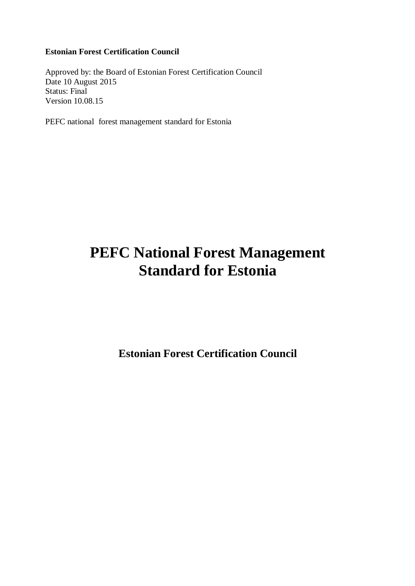# **Estonian Forest Certification Council**

Approved by: the Board of Estonian Forest Certification Council Date 10 August 2015 Status: Final Version 10.08.15

PEFC national forest management standard for Estonia

# **PEFC National Forest Management Standard for Estonia**

**Estonian Forest Certification Council**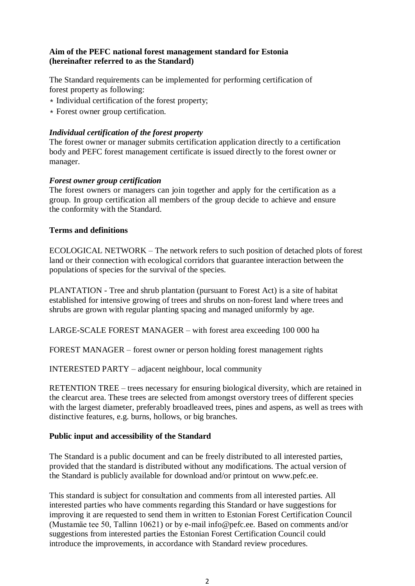# **Aim of the PEFC national forest management standard for Estonia (hereinafter referred to as the Standard)**

The Standard requirements can be implemented for performing certification of forest property as following:

- ∗ Individual certification of the forest property;
- ∗ Forest owner group certification.

#### *Individual certification of the forest property*

The forest owner or manager submits certification application directly to a certification body and PEFC forest management certificate is issued directly to the forest owner or manager.

#### *Forest owner group certification*

The forest owners or managers can join together and apply for the certification as a group. In group certification all members of the group decide to achieve and ensure the conformity with the Standard.

#### **Terms and definitions**

ECOLOGICAL NETWORK – The network refers to such position of detached plots of forest land or their connection with ecological corridors that guarantee interaction between the populations of species for the survival of the species.

PLANTATION - Tree and shrub plantation (pursuant to Forest Act) is a site of habitat established for intensive growing of trees and shrubs on non-forest land where trees and shrubs are grown with regular planting spacing and managed uniformly by age.

LARGE-SCALE FOREST MANAGER – with forest area exceeding 100 000 ha

FOREST MANAGER – forest owner or person holding forest management rights

INTERESTED PARTY – adjacent neighbour, local community

RETENTION TREE – trees necessary for ensuring biological diversity, which are retained in the clearcut area. These trees are selected from amongst overstory trees of different species with the largest diameter, preferably broadleaved trees, pines and aspens, as well as trees with distinctive features, e.g. burns, hollows, or big branches.

#### **Public input and accessibility of the Standard**

The Standard is a public document and can be freely distributed to all interested parties, provided that the standard is distributed without any modifications. The actual version of the Standard is publicly available for download and/or printout on www.pefc.ee.

This standard is subject for consultation and comments from all interested parties. All interested parties who have comments regarding this Standard or have suggestions for improving it are requested to send them in written to Estonian Forest Certification Council (Mustamäe tee 50, Tallinn 10621) or by e-mail info@pefc.ee. Based on comments and/or suggestions from interested parties the Estonian Forest Certification Council could introduce the improvements, in accordance with Standard review procedures.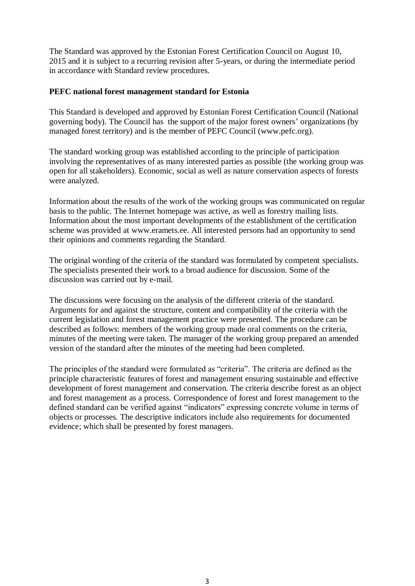The Standard was approved by the Estonian Forest Certification Council on August 10, 2015 and it is subject to a recurring revision after 5-years, or during the intermediate period in accordance with Standard review procedures.

#### **PEFC national forest management standard for Estonia**

This Standard is developed and approved by Estonian Forest Certification Council (National governing body). The Council has the support of the major forest owners' organizations (by managed forest territory) and is the member of PEFC Council (www.pefc.org).

The standard working group was established according to the principle of participation involving the representatives of as many interested parties as possible (the working group was open for all stakeholders). Economic, social as well as nature conservation aspects of forests were analyzed.

Information about the results of the work of the working groups was communicated on regular basis to the public. The Internet homepage was active, as well as forestry mailing lists. Information about the most important developments of the establishment of the certification scheme was provided at www.eramets.ee. All interested persons had an opportunity to send their opinions and comments regarding the Standard.

The original wording of the criteria of the standard was formulated by competent specialists. The specialists presented their work to a broad audience for discussion. Some of the discussion was carried out by e-mail.

The discussions were focusing on the analysis of the different criteria of the standard. Arguments for and against the structure, content and compatibility of the criteria with the current legislation and forest management practice were presented. The procedure can be described as follows: members of the working group made oral comments on the criteria, minutes of the meeting were taken. The manager of the working group prepared an amended version of the standard after the minutes of the meeting had been completed.

The principles of the standard were formulated as "criteria". The criteria are defined as the principle characteristic features of forest and management ensuring sustainable and effective development of forest management and conservation. The criteria describe forest as an object and forest management as a process. Correspondence of forest and forest management to the defined standard can be verified against "indicators" expressing concrete volume in terms of objects or processes. The descriptive indicators include also requirements for documented evidence; which shall be presented by forest managers.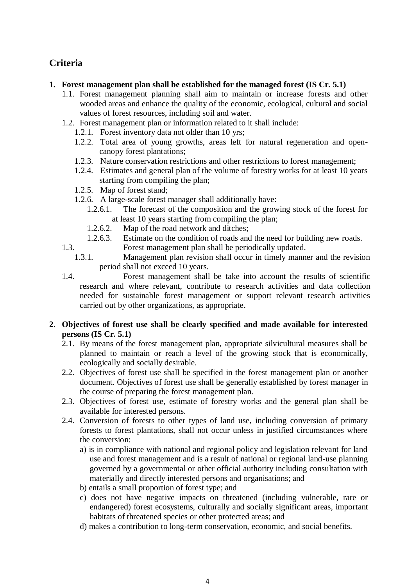# **Criteria**

# **1. Forest management plan shall be established for the managed forest (IS Cr. 5.1)**

- 1.1. Forest management planning shall aim to maintain or increase forests and other wooded areas and enhance the quality of the economic, ecological, cultural and social values of forest resources, including soil and water.
- 1.2. Forest management plan or information related to it shall include:
	- 1.2.1. Forest inventory data not older than 10 yrs;
	- 1.2.2. Total area of young growths, areas left for natural regeneration and opencanopy forest plantations;
	- 1.2.3. Nature conservation restrictions and other restrictions to forest management;
	- 1.2.4. Estimates and general plan of the volume of forestry works for at least 10 years starting from compiling the plan;
	- 1.2.5. Map of forest stand;
	- 1.2.6. A large-scale forest manager shall additionally have:
		- 1.2.6.1. The forecast of the composition and the growing stock of the forest for at least 10 years starting from compiling the plan;
		- 1.2.6.2. Map of the road network and ditches;
		- 1.2.6.3. Estimate on the condition of roads and the need for building new roads.
- 1.3. Forest management plan shall be periodically updated.
	- 1.3.1. Management plan revision shall occur in timely manner and the revision period shall not exceed 10 years.
- 

1.4. Forest management shall be take into account the results of scientific research and where relevant, contribute to research activities and data collection needed for sustainable forest management or support relevant research activities carried out by other organizations, as appropriate.

# **2. Objectives of forest use shall be clearly specified and made available for interested persons (IS Cr. 5.1)**

- 2.1. By means of the forest management plan, appropriate silvicultural measures shall be planned to maintain or reach a level of the growing stock that is economically, ecologically and socially desirable.
- 2.2. Objectives of forest use shall be specified in the forest management plan or another document. Objectives of forest use shall be generally established by forest manager in the course of preparing the forest management plan.
- 2.3. Objectives of forest use, estimate of forestry works and the general plan shall be available for interested persons.
- 2.4. Conversion of forests to other types of land use, including conversion of primary forests to forest plantations, shall not occur unless in justified circumstances where the conversion:
	- a) is in compliance with national and regional policy and legislation relevant for land use and forest management and is a result of national or regional land-use planning governed by a governmental or other official authority including consultation with materially and directly interested persons and organisations; and
	- b) entails a small proportion of forest type; and
	- c) does not have negative impacts on threatened (including vulnerable, rare or endangered) forest ecosystems, culturally and socially significant areas, important habitats of threatened species or other protected areas; and
	- d) makes a contribution to long-term conservation, economic, and social benefits.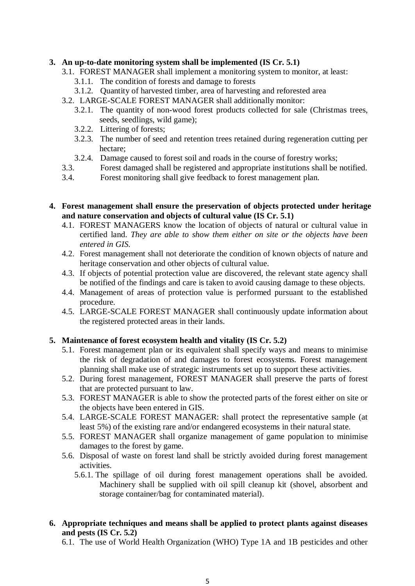# **3. An up-to-date monitoring system shall be implemented (IS Cr. 5.1)**

- 3.1. FOREST MANAGER shall implement a monitoring system to monitor, at least:
	- 3.1.1. The condition of forests and damage to forests
	- 3.1.2. Quantity of harvested timber, area of harvesting and reforested area
- 3.2. LARGE-SCALE FOREST MANAGER shall additionally monitor:
	- 3.2.1. The quantity of non-wood forest products collected for sale (Christmas trees, seeds, seedlings, wild game);
	- 3.2.2. Littering of forests;
	- 3.2.3. The number of seed and retention trees retained during regeneration cutting per hectare;
	- 3.2.4. Damage caused to forest soil and roads in the course of forestry works;
- 3.3. Forest damaged shall be registered and appropriate institutions shall be notified.
- 3.4. Forest monitoring shall give feedback to forest management plan.

#### **4. Forest management shall ensure the preservation of objects protected under heritage and nature conservation and objects of cultural value (IS Cr. 5.1)**

- 4.1. FOREST MANAGERS know the location of objects of natural or cultural value in certified land. *They are able to show them either on site or the objects have been entered in GIS.*
- 4.2. Forest management shall not deteriorate the condition of known objects of nature and heritage conservation and other objects of cultural value.
- 4.3. If objects of potential protection value are discovered, the relevant state agency shall be notified of the findings and care is taken to avoid causing damage to these objects.
- 4.4. Management of areas of protection value is performed pursuant to the established procedure.
- 4.5. LARGE-SCALE FOREST MANAGER shall continuously update information about the registered protected areas in their lands.

#### **5. Maintenance of forest ecosystem health and vitality (IS Cr. 5.2)**

- 5.1. Forest management plan or its equivalent shall specify ways and means to minimise the risk of degradation of and damages to forest ecosystems. Forest management planning shall make use of strategic instruments set up to support these activities.
- 5.2. During forest management, FOREST MANAGER shall preserve the parts of forest that are protected pursuant to law.
- 5.3. FOREST MANAGER is able to show the protected parts of the forest either on site or the objects have been entered in GIS.
- 5.4. LARGE-SCALE FOREST MANAGER: shall protect the representative sample (at least 5%) of the existing rare and/or endangered ecosystems in their natural state.
- 5.5. FOREST MANAGER shall organize management of game population to minimise damages to the forest by game.
- 5.6. Disposal of waste on forest land shall be strictly avoided during forest management activities.
	- 5.6.1. The spillage of oil during forest management operations shall be avoided. Machinery shall be supplied with oil spill cleanup kit (shovel, absorbent and storage container/bag for contaminated material).
- **6. Appropriate techniques and means shall be applied to protect plants against diseases and pests (IS Cr. 5.2)**
	- 6.1. The use of World Health Organization (WHO) Type 1A and 1B pesticides and other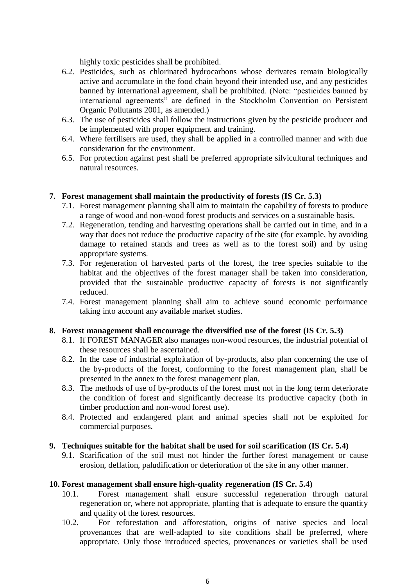highly toxic pesticides shall be prohibited.

- 6.2. Pesticides, such as chlorinated hydrocarbons whose derivates remain biologically active and accumulate in the food chain beyond their intended use, and any pesticides banned by international agreement, shall be prohibited. (Note: "pesticides banned by international agreements" are defined in the Stockholm Convention on Persistent Organic Pollutants 2001, as amended.)
- 6.3. The use of pesticides shall follow the instructions given by the pesticide producer and be implemented with proper equipment and training.
- 6.4. Where fertilisers are used, they shall be applied in a controlled manner and with due consideration for the environment.
- 6.5. For protection against pest shall be preferred appropriate silvicultural techniques and natural resources.

#### **7. Forest management shall maintain the productivity of forests (IS Cr. 5.3)**

- 7.1. Forest management planning shall aim to maintain the capability of forests to produce a range of wood and non-wood forest products and services on a sustainable basis.
- 7.2. Regeneration, tending and harvesting operations shall be carried out in time, and in a way that does not reduce the productive capacity of the site (for example, by avoiding damage to retained stands and trees as well as to the forest soil) and by using appropriate systems.
- 7.3. For regeneration of harvested parts of the forest, the tree species suitable to the habitat and the objectives of the forest manager shall be taken into consideration. provided that the sustainable productive capacity of forests is not significantly reduced.
- 7.4. Forest management planning shall aim to achieve sound economic performance taking into account any available market studies.

#### **8. Forest management shall encourage the diversified use of the forest (IS Cr. 5.3)**

- 8.1. If FOREST MANAGER also manages non-wood resources, the industrial potential of these resources shall be ascertained.
- 8.2. In the case of industrial exploitation of by-products, also plan concerning the use of the by-products of the forest, conforming to the forest management plan, shall be presented in the annex to the forest management plan.
- 8.3. The methods of use of by-products of the forest must not in the long term deteriorate the condition of forest and significantly decrease its productive capacity (both in timber production and non-wood forest use).
- 8.4. Protected and endangered plant and animal species shall not be exploited for commercial purposes.

#### **9. Techniques suitable for the habitat shall be used for soil scarification (IS Cr. 5.4)**

9.1. Scarification of the soil must not hinder the further forest management or cause erosion, deflation, paludification or deterioration of the site in any other manner.

#### **10. Forest management shall ensure high-quality regeneration (IS Cr. 5.4)**

- 10.1. Forest management shall ensure successful regeneration through natural regeneration or, where not appropriate, planting that is adequate to ensure the quantity and quality of the forest resources.
- 10.2. For reforestation and afforestation, origins of native species and local provenances that are well-adapted to site conditions shall be preferred, where appropriate. Only those introduced species, provenances or varieties shall be used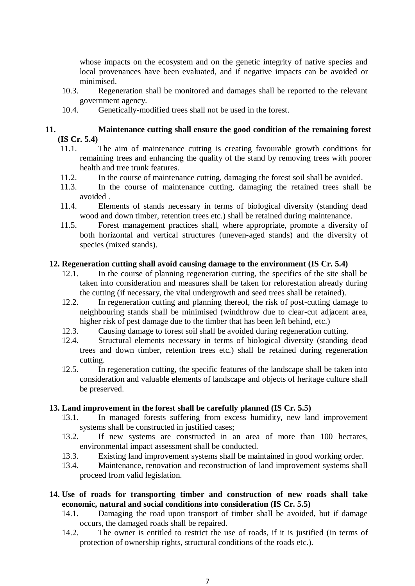whose impacts on the ecosystem and on the genetic integrity of native species and local provenances have been evaluated, and if negative impacts can be avoided or minimised.

- 10.3. Regeneration shall be monitored and damages shall be reported to the relevant government agency.
- 10.4. Genetically-modified trees shall not be used in the forest.

#### **11. Maintenance cutting shall ensure the good condition of the remaining forest (IS Cr. 5.4)**

- 11.1. The aim of maintenance cutting is creating favourable growth conditions for remaining trees and enhancing the quality of the stand by removing trees with poorer health and tree trunk features.
- 11.2. In the course of maintenance cutting, damaging the forest soil shall be avoided.
- 11.3. In the course of maintenance cutting, damaging the retained trees shall be avoided .
- 11.4. Elements of stands necessary in terms of biological diversity (standing dead wood and down timber, retention trees etc.) shall be retained during maintenance.
- 11.5. Forest management practices shall, where appropriate, promote a diversity of both horizontal and vertical structures (uneven-aged stands) and the diversity of species (mixed stands).

#### **12. Regeneration cutting shall avoid causing damage to the environment (IS Cr. 5.4)**

- 12.1. In the course of planning regeneration cutting, the specifics of the site shall be taken into consideration and measures shall be taken for reforestation already during the cutting (if necessary, the vital undergrowth and seed trees shall be retained).
- 12.2. In regeneration cutting and planning thereof, the risk of post-cutting damage to neighbouring stands shall be minimised (windthrow due to clear-cut adjacent area, higher risk of pest damage due to the timber that has been left behind, etc.)
- 12.3. Causing damage to forest soil shall be avoided during regeneration cutting.
- 12.4. Structural elements necessary in terms of biological diversity (standing dead trees and down timber, retention trees etc.) shall be retained during regeneration cutting.
- 12.5. In regeneration cutting, the specific features of the landscape shall be taken into consideration and valuable elements of landscape and objects of heritage culture shall be preserved.

#### **13. Land improvement in the forest shall be carefully planned (IS Cr. 5.5)**

- 13.1. In managed forests suffering from excess humidity, new land improvement systems shall be constructed in justified cases;
- 13.2. If new systems are constructed in an area of more than 100 hectares, environmental impact assessment shall be conducted.
- 13.3. Existing land improvement systems shall be maintained in good working order.
- 13.4. Maintenance, renovation and reconstruction of land improvement systems shall proceed from valid legislation.
- **14. Use of roads for transporting timber and construction of new roads shall take economic, natural and social conditions into consideration (IS Cr. 5.5)**
	- 14.1. Damaging the road upon transport of timber shall be avoided, but if damage occurs, the damaged roads shall be repaired.
	- 14.2. The owner is entitled to restrict the use of roads, if it is justified (in terms of protection of ownership rights, structural conditions of the roads etc.).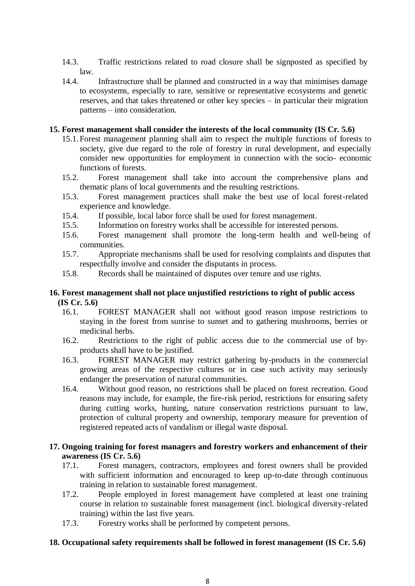- 14.3. Traffic restrictions related to road closure shall be signposted as specified by law.
- 14.4. Infrastructure shall be planned and constructed in a way that minimises damage to ecosystems, especially to rare, sensitive or representative ecosystems and genetic reserves, and that takes threatened or other key species – in particular their migration patterns – into consideration.

#### **15. Forest management shall consider the interests of the local community (IS Cr. 5.6)**

- 15.1.Forest management planning shall aim to respect the multiple functions of forests to society, give due regard to the role of forestry in rural development, and especially consider new opportunities for employment in connection with the socio- economic functions of forests.
- 15.2. Forest management shall take into account the comprehensive plans and thematic plans of local governments and the resulting restrictions.
- 15.3. Forest management practices shall make the best use of local forest-related experience and knowledge.
- 15.4. If possible, local labor force shall be used for forest management.
- 15.5. Information on forestry works shall be accessible for interested persons.
- 15.6. Forest management shall promote the long-term health and well-being of communities.
- 15.7. Appropriate mechanisms shall be used for resolving complaints and disputes that respectfully involve and consider the disputants in process.
- 15.8. Records shall be maintained of disputes over tenure and use rights.

#### **16. Forest management shall not place unjustified restrictions to right of public access (IS Cr. 5.6)**

- 16.1. FOREST MANAGER shall not without good reason impose restrictions to staying in the forest from sunrise to sunset and to gathering mushrooms, berries or medicinal herbs.
- 16.2. Restrictions to the right of public access due to the commercial use of byproducts shall have to be justified.
- 16.3. FOREST MANAGER may restrict gathering by-products in the commercial growing areas of the respective cultures or in case such activity may seriously endanger the preservation of natural communities.
- 16.4. Without good reason, no restrictions shall be placed on forest recreation. Good reasons may include, for example, the fire-risk period, restrictions for ensuring safety during cutting works, hunting, nature conservation restrictions pursuant to law, protection of cultural property and ownership, temporary measure for prevention of registered repeated acts of vandalism or illegal waste disposal.

# **17. Ongoing training for forest managers and forestry workers and enhancement of their awareness (IS Cr. 5.6)**

- 17.1. Forest managers, contractors, employees and forest owners shall be provided with sufficient information and encouraged to keep up-to-date through continuous training in relation to sustainable forest management.
- 17.2. People employed in forest management have completed at least one training course in relation to sustainable forest management (incl. biological diversity-related training) within the last five years.
- 17.3. Forestry works shall be performed by competent persons.

#### **18. Occupational safety requirements shall be followed in forest management (IS Cr. 5.6)**